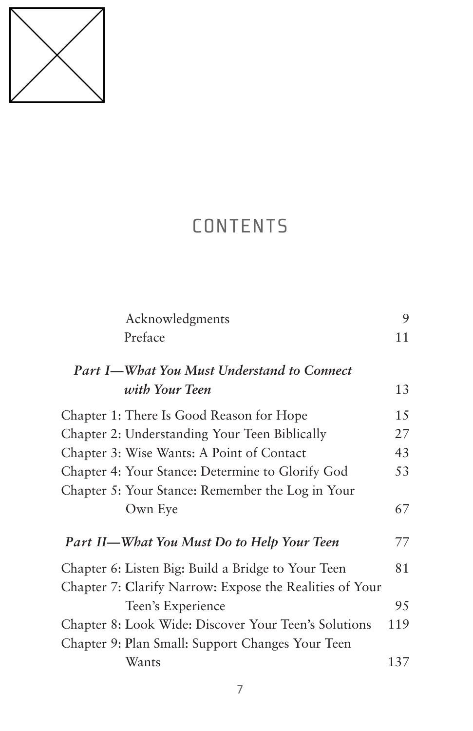

# CONTENTS

| Acknowledgments                                         | 9   |
|---------------------------------------------------------|-----|
| Preface                                                 | 11  |
| <b>Part I—What You Must Understand to Connect</b>       |     |
| with Your Teen                                          | 13  |
| Chapter 1: There Is Good Reason for Hope                | 15  |
| Chapter 2: Understanding Your Teen Biblically           | 27  |
| Chapter 3: Wise Wants: A Point of Contact               | 43  |
| Chapter 4: Your Stance: Determine to Glorify God        | 53  |
| Chapter 5: Your Stance: Remember the Log in Your        |     |
| Own Eye                                                 | 67  |
| Part II—What You Must Do to Help Your Teen              | 77  |
| Chapter 6: Listen Big: Build a Bridge to Your Teen      | 81  |
| Chapter 7: Clarify Narrow: Expose the Realities of Your |     |
| Teen's Experience                                       | 95  |
| Chapter 8: Look Wide: Discover Your Teen's Solutions    | 119 |
| Chapter 9: Plan Small: Support Changes Your Teen        |     |
| Wants                                                   | 137 |
|                                                         |     |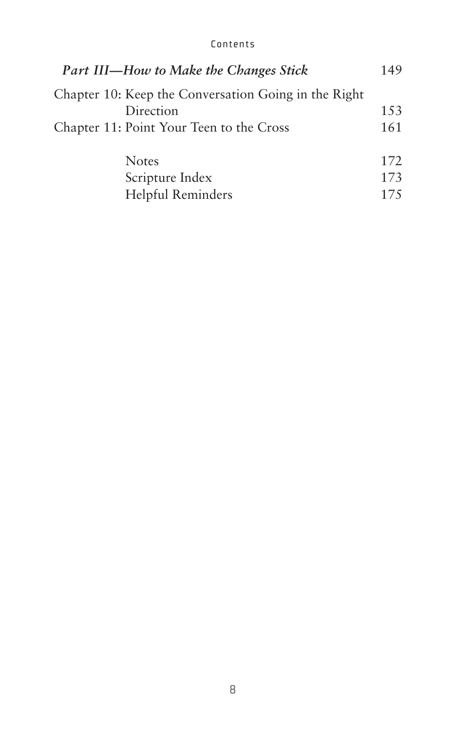| Contents |  |  |  |  |  |  |  |
|----------|--|--|--|--|--|--|--|
|----------|--|--|--|--|--|--|--|

| <b>Part III—How to Make the Changes Stick</b>        | 149 |
|------------------------------------------------------|-----|
| Chapter 10: Keep the Conversation Going in the Right |     |
| Direction                                            | 153 |
| Chapter 11: Point Your Teen to the Cross             | 161 |
| <b>Notes</b>                                         | 172 |
| Scripture Index                                      | 173 |
| <b>Helpful Reminders</b>                             | 175 |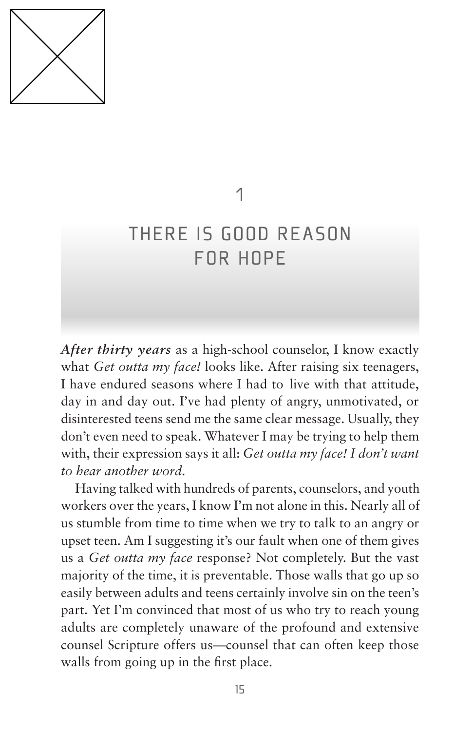

)

## THERE IS GOOD REASON FOR HOPE

*After thirty years* as a high-school counselor, I know exactly what *Get outta my face!* looks like. After raising six teenagers, I have endured seasons where I had to live with that attitude, day in and day out. I've had plenty of angry, unmotivated, or disinterested teens send me the same clear message. Usually, they don't even need to speak. Whatever I may be trying to help them with, their expression says it all: *Get outta my face! I don't want to hear another word.*

Having talked with hundreds of parents, counselors, and youth workers over the years, I know I'm not alone in this. Nearly all of us stumble from time to time when we try to talk to an angry or upset teen. Am I suggesting it's our fault when one of them gives us a *Get outta my face* response? Not completely. But the vast majority of the time, it is preventable. Those walls that go up so easily between adults and teens certainly involve sin on the teen's part. Yet I'm convinced that most of us who try to reach young adults are completely unaware of the profound and extensive counsel Scripture offers us—counsel that can often keep those walls from going up in the first place.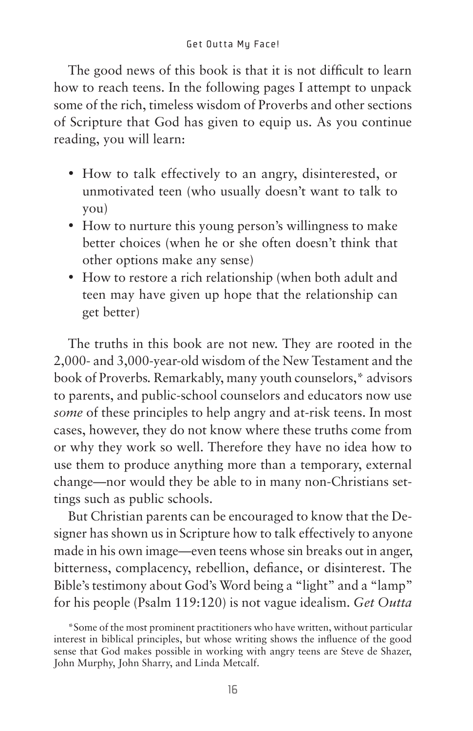The good news of this book is that it is not difficult to learn how to reach teens. In the following pages I attempt to unpack some of the rich, timeless wisdom of Proverbs and other sections of Scripture that God has given to equip us. As you continue reading, you will learn:

- How to talk effectively to an angry, disinterested, or unmotivated teen (who usually doesn't want to talk to you)
- How to nurture this young person's willingness to make better choices (when he or she often doesn't think that other options make any sense)
- How to restore a rich relationship (when both adult and teen may have given up hope that the relationship can get better)

The truths in this book are not new. They are rooted in the 2,000- and 3,000-year-old wisdom of the New Testament and the book of Proverbs*.* Remarkably, many youth counselors,\* advisors to parents, and public-school counselors and educators now use *some* of these principles to help angry and at-risk teens. In most cases, however, they do not know where these truths come from or why they work so well. Therefore they have no idea how to use them to produce anything more than a temporary, external change—nor would they be able to in many non-Christians settings such as public schools.

But Christian parents can be encouraged to know that the Designer has shown us in Scripture how to talk effectively to anyone made in his own image—even teens whose sin breaks out in anger, bitterness, complacency, rebellion, defiance, or disinterest. The Bible's testimony about God's Word being a "light" and a "lamp" for his people (Psalm 119:120) is not vague idealism. *Get Outta* 

<sup>\*</sup>Some of the most prominent practitioners who have written, without particular interest in biblical principles, but whose writing shows the influence of the good sense that God makes possible in working with angry teens are Steve de Shazer, John Murphy, John Sharry, and Linda Metcalf.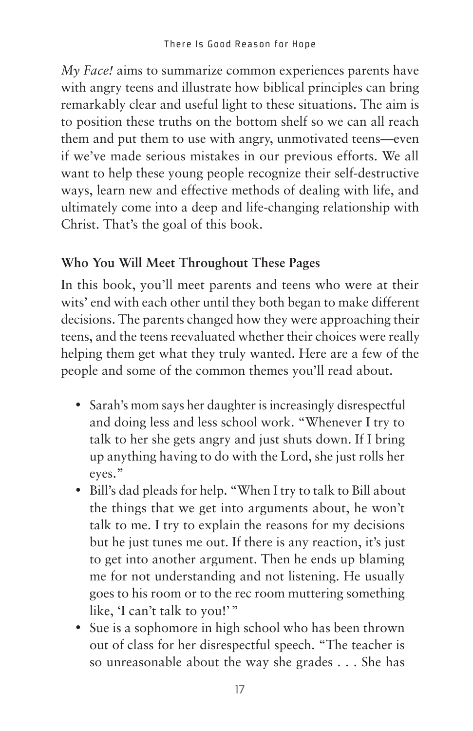*My Face!* aims to summarize common experiences parents have with angry teens and illustrate how biblical principles can bring remarkably clear and useful light to these situations. The aim is to position these truths on the bottom shelf so we can all reach them and put them to use with angry, unmotivated teens—even if we've made serious mistakes in our previous efforts. We all want to help these young people recognize their self-destructive ways, learn new and effective methods of dealing with life, and ultimately come into a deep and life-changing relationship with Christ. That's the goal of this book.

## **Who You Will Meet Throughout These Pages**

In this book, you'll meet parents and teens who were at their wits' end with each other until they both began to make different decisions. The parents changed how they were approaching their teens, and the teens reevaluated whether their choices were really helping them get what they truly wanted. Here are a few of the people and some of the common themes you'll read about.

- Sarah's mom says her daughter is increasingly disrespectful and doing less and less school work. "Whenever I try to talk to her she gets angry and just shuts down. If I bring up anything having to do with the Lord, she just rolls her eyes."
- Bill's dad pleads for help. "When I try to talk to Bill about the things that we get into arguments about, he won't talk to me. I try to explain the reasons for my decisions but he just tunes me out. If there is any reaction, it's just to get into another argument. Then he ends up blaming me for not understanding and not listening. He usually goes to his room or to the rec room muttering something like, 'I can't talk to you!'"
- Sue is a sophomore in high school who has been thrown out of class for her disrespectful speech. "The teacher is so unreasonable about the way she grades . . . She has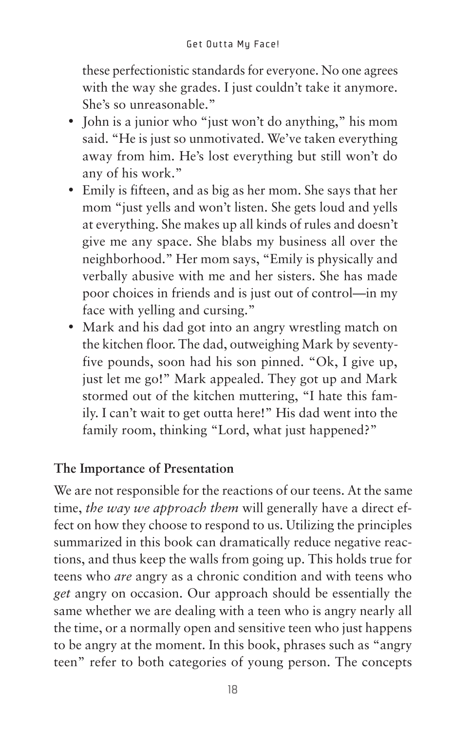these perfectionistic standards for everyone. No one agrees with the way she grades. I just couldn't take it anymore. She's so unreasonable."

- John is a junior who "just won't do anything," his mom said. "He is just so unmotivated. We've taken everything away from him. He's lost everything but still won't do any of his work."
- Emily is fifteen, and as big as her mom. She says that her mom "just yells and won't listen. She gets loud and yells at everything. She makes up all kinds of rules and doesn't give me any space. She blabs my business all over the neighborhood." Her mom says, "Emily is physically and verbally abusive with me and her sisters. She has made poor choices in friends and is just out of control—in my face with yelling and cursing."
- Mark and his dad got into an angry wrestling match on the kitchen floor. The dad, outweighing Mark by seventyfive pounds, soon had his son pinned. "Ok, I give up, just let me go!" Mark appealed. They got up and Mark stormed out of the kitchen muttering, "I hate this family. I can't wait to get outta here!" His dad went into the family room, thinking "Lord, what just happened?"

## **The Importance of Presentation**

We are not responsible for the reactions of our teens. At the same time, *the way we approach them* will generally have a direct effect on how they choose to respond to us. Utilizing the principles summarized in this book can dramatically reduce negative reactions, and thus keep the walls from going up. This holds true for teens who *are* angry as a chronic condition and with teens who *get* angry on occasion. Our approach should be essentially the same whether we are dealing with a teen who is angry nearly all the time, or a normally open and sensitive teen who just happens to be angry at the moment. In this book, phrases such as "angry teen" refer to both categories of young person. The concepts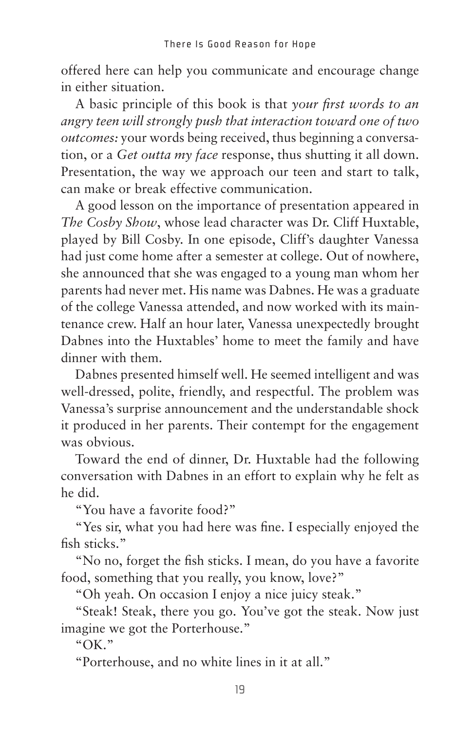offered here can help you communicate and encourage change in either situation.

A basic principle of this book is that *your first words to an angry teen will strongly push that interaction toward one of two outcomes:* your words being received, thus beginning a conversation, or a *Get outta my face* response, thus shutting it all down. Presentation, the way we approach our teen and start to talk, can make or break effective communication.

A good lesson on the importance of presentation appeared in *The Cosby Show*, whose lead character was Dr. Cliff Huxtable, played by Bill Cosby. In one episode, Cliff's daughter Vanessa had just come home after a semester at college. Out of nowhere, she announced that she was engaged to a young man whom her parents had never met. His name was Dabnes. He was a graduate of the college Vanessa attended, and now worked with its maintenance crew. Half an hour later, Vanessa unexpectedly brought Dabnes into the Huxtables' home to meet the family and have dinner with them.

Dabnes presented himself well. He seemed intelligent and was well-dressed, polite, friendly, and respectful. The problem was Vanessa's surprise announcement and the understandable shock it produced in her parents. Their contempt for the engagement was obvious.

Toward the end of dinner, Dr. Huxtable had the following conversation with Dabnes in an effort to explain why he felt as he did.

"You have a favorite food?"

"Yes sir, what you had here was fine. I especially enjoyed the fish sticks."

"No no, forget the fish sticks. I mean, do you have a favorite food, something that you really, you know, love?"

"Oh yeah. On occasion I enjoy a nice juicy steak."

"Steak! Steak, there you go. You've got the steak. Now just imagine we got the Porterhouse."

" $OK$ ."

"Porterhouse, and no white lines in it at all."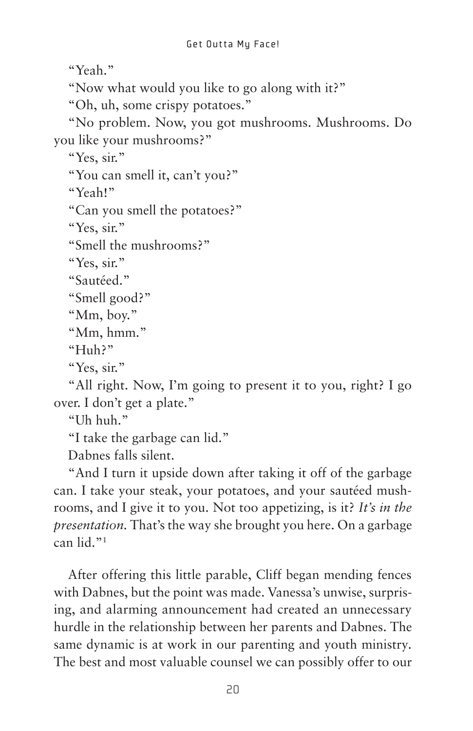"Yeah."

"Now what would you like to go along with it?"

"Oh, uh, some crispy potatoes."

"No problem. Now, you got mushrooms. Mushrooms. Do you like your mushrooms?"

"Yes, sir."

"You can smell it, can't you?"

"Yeah!"

"Can you smell the potatoes?"

"Yes, sir."

"Smell the mushrooms?"

"Yes, sir."

"Sautéed."

"Smell good?"

"Mm, boy."

"Mm, hmm."

"Huh?"

"Yes, sir."

"All right. Now, I'm going to present it to you, right? I go over. I don't get a plate."

"Uh huh."

"I take the garbage can lid."

Dabnes falls silent.

"And I turn it upside down after taking it off of the garbage can. I take your steak, your potatoes, and your sautéed mushrooms, and I give it to you. Not too appetizing, is it? *It's in the presentation.* That's the way she brought you here. On a garbage can lid<sup>31</sup>

After offering this little parable, Cliff began mending fences with Dabnes, but the point was made. Vanessa's unwise, surprising, and alarming announcement had created an unnecessary hurdle in the relationship between her parents and Dabnes. The same dynamic is at work in our parenting and youth ministry*.*  The best and most valuable counsel we can possibly offer to our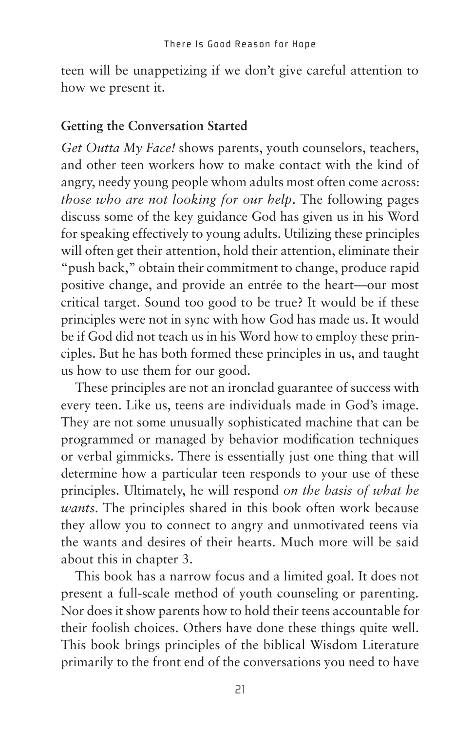teen will be unappetizing if we don't give careful attention to how we present it.

#### **Getting the Conversation Started**

*Get Outta My Face!* shows parents, youth counselors, teachers, and other teen workers how to make contact with the kind of angry, needy young people whom adults most often come across: *those who are not looking for our help*. The following pages discuss some of the key guidance God has given us in his Word for speaking effectively to young adults. Utilizing these principles will often get their attention, hold their attention, eliminate their "push back," obtain their commitment to change, produce rapid positive change, and provide an entrée to the heart—our most critical target. Sound too good to be true? It would be if these principles were not in sync with how God has made us. It would be if God did not teach us in his Word how to employ these principles. But he has both formed these principles in us, and taught us how to use them for our good.

These principles are not an ironclad guarantee of success with every teen. Like us, teens are individuals made in God's image. They are not some unusually sophisticated machine that can be programmed or managed by behavior modification techniques or verbal gimmicks. There is essentially just one thing that will determine how a particular teen responds to your use of these principles. Ultimately, he will respond *on the basis of what he wants*. The principles shared in this book often work because they allow you to connect to angry and unmotivated teens via the wants and desires of their hearts. Much more will be said about this in chapter 3.

This book has a narrow focus and a limited goal*.* It does not present a full-scale method of youth counseling or parenting. Nor does it show parents how to hold their teens accountable for their foolish choices. Others have done these things quite well. This book brings principles of the biblical Wisdom Literature primarily to the front end of the conversations you need to have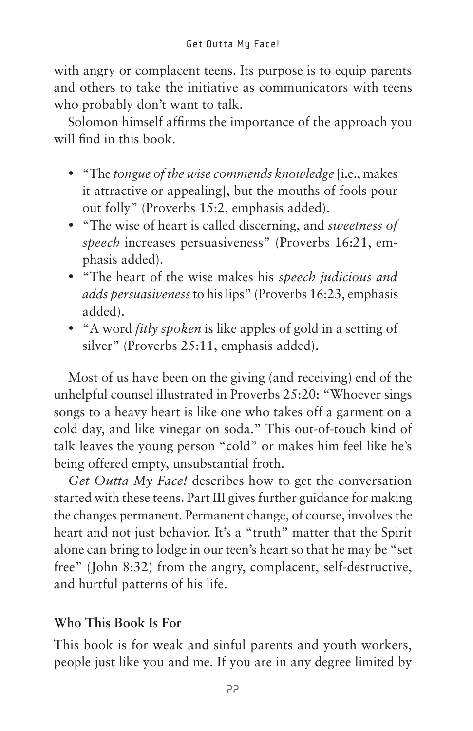with angry or complacent teens. Its purpose is to equip parents and others to take the initiative as communicators with teens who probably don't want to talk.

Solomon himself affirms the importance of the approach you will find in this book.

- "The *tongue of the wise commends knowledge* [i.e., makes it attractive or appealing], but the mouths of fools pour out folly" (Proverbs 15:2, emphasis added).
- "The wise of heart is called discerning, and *sweetness of speech* increases persuasiveness" (Proverbs 16:21, emphasis added).
- "The heart of the wise makes his *speech judicious and adds persuasiveness* to his lips" (Proverbs 16:23, emphasis added).
- "A word *fitly spoken* is like apples of gold in a setting of silver" (Proverbs 25:11, emphasis added).

Most of us have been on the giving (and receiving) end of the unhelpful counsel illustrated in Proverbs 25:20: "Whoever sings songs to a heavy heart is like one who takes off a garment on a cold day, and like vinegar on soda." This out-of-touch kind of talk leaves the young person "cold" or makes him feel like he's being offered empty, unsubstantial froth.

*Get Outta My Face!* describes how to get the conversation started with these teens. Part III gives further guidance for making the changes permanent. Permanent change, of course, involves the heart and not just behavior. It's a "truth" matter that the Spirit alone can bring to lodge in our teen's heart so that he may be "set free" (John 8:32) from the angry, complacent, self-destructive, and hurtful patterns of his life.

#### **Who This Book Is For**

This book is for weak and sinful parents and youth workers, people just like you and me. If you are in any degree limited by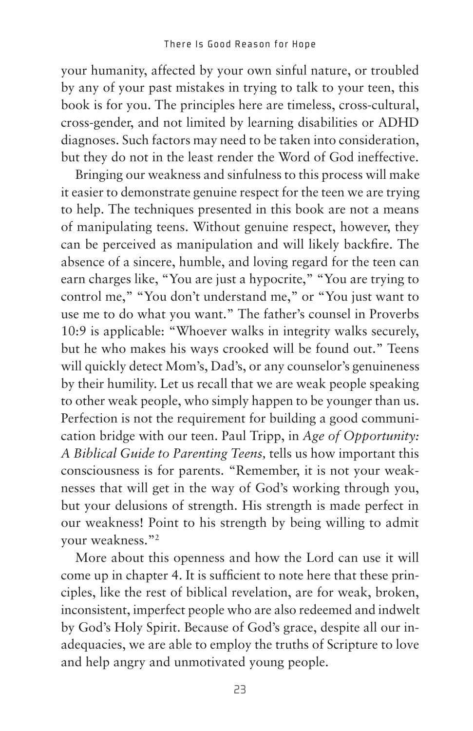your humanity, affected by your own sinful nature, or troubled by any of your past mistakes in trying to talk to your teen, this book is for you. The principles here are timeless, cross-cultural, cross-gender, and not limited by learning disabilities or ADHD diagnoses. Such factors may need to be taken into consideration, but they do not in the least render the Word of God ineffective.

Bringing our weakness and sinfulness to this process will make it easier to demonstrate genuine respect for the teen we are trying to help. The techniques presented in this book are not a means of manipulating teens. Without genuine respect, however, they can be perceived as manipulation and will likely backfire. The absence of a sincere, humble, and loving regard for the teen can earn charges like, "You are just a hypocrite," "You are trying to control me," "You don't understand me," or "You just want to use me to do what you want." The father's counsel in Proverbs 10:9 is applicable: "Whoever walks in integrity walks securely, but he who makes his ways crooked will be found out." Teens will quickly detect Mom's, Dad's, or any counselor's genuineness by their humility. Let us recall that we are weak people speaking to other weak people, who simply happen to be younger than us. Perfection is not the requirement for building a good communication bridge with our teen. Paul Tripp, in *Age of Opportunity: A Biblical Guide to Parenting Teens,* tells us how important this consciousness is for parents. "Remember, it is not your weaknesses that will get in the way of God's working through you, but your delusions of strength. His strength is made perfect in our weakness! Point to his strength by being willing to admit your weakness."2

More about this openness and how the Lord can use it will come up in chapter 4. It is sufficient to note here that these principles, like the rest of biblical revelation, are for weak, broken, inconsistent, imperfect people who are also redeemed and indwelt by God's Holy Spirit. Because of God's grace, despite all our inadequacies, we are able to employ the truths of Scripture to love and help angry and unmotivated young people.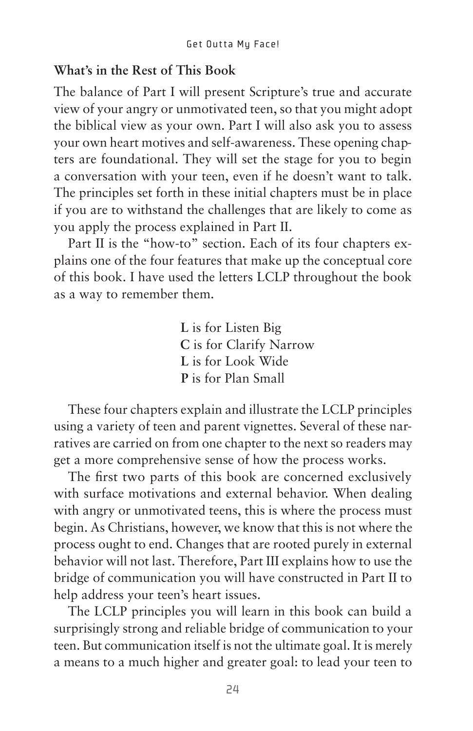#### **What's in the Rest of This Book**

The balance of Part I will present Scripture's true and accurate view of your angry or unmotivated teen, so that you might adopt the biblical view as your own. Part I will also ask you to assess your own heart motives and self-awareness. These opening chapters are foundational. They will set the stage for you to begin a conversation with your teen, even if he doesn't want to talk. The principles set forth in these initial chapters must be in place if you are to withstand the challenges that are likely to come as you apply the process explained in Part II.

Part II is the "how-to" section. Each of its four chapters explains one of the four features that make up the conceptual core of this book. I have used the letters LCLP throughout the book as a way to remember them.

> **L** is for Listen Big  **C** is for Clarify Narrow  **L** is for Look Wide **P** is for Plan Small

These four chapters explain and illustrate the LCLP principles using a variety of teen and parent vignettes. Several of these narratives are carried on from one chapter to the next so readers may get a more comprehensive sense of how the process works.

The first two parts of this book are concerned exclusively with surface motivations and external behavior. When dealing with angry or unmotivated teens, this is where the process must begin. As Christians, however, we know that this is not where the process ought to end. Changes that are rooted purely in external behavior will not last. Therefore, Part III explains how to use the bridge of communication you will have constructed in Part II to help address your teen's heart issues.

The LCLP principles you will learn in this book can build a surprisingly strong and reliable bridge of communication to your teen. But communication itself is not the ultimate goal. It is merely a means to a much higher and greater goal: to lead your teen to